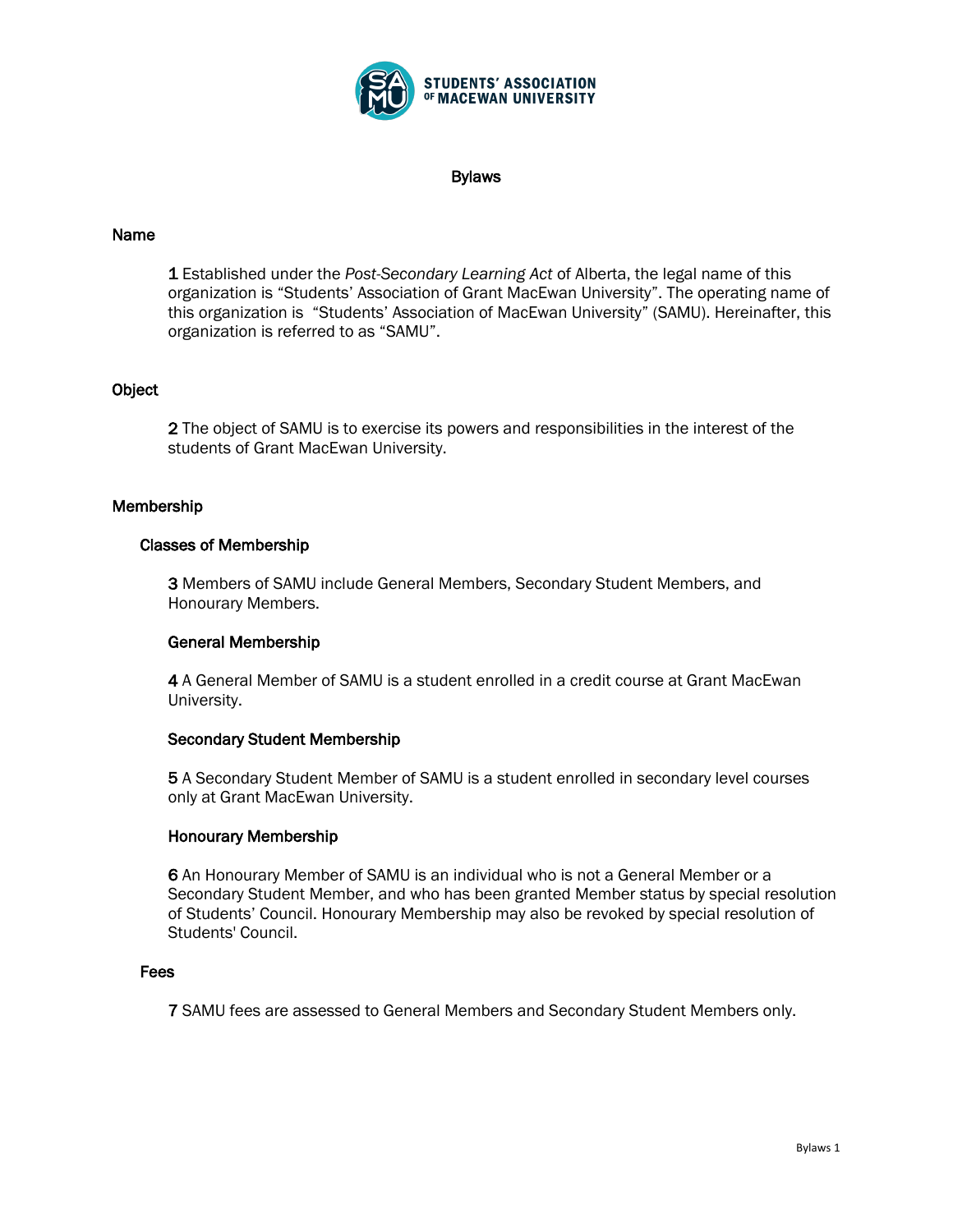

#### Bylaws

## Name

1 Established under the *Post-Secondary Learning Act* of Alberta, the legal name of this organization is "Students' Association of Grant MacEwan University". The operating name of this organization is "Students' Association of MacEwan University" (SAMU). Hereinafter, this organization is referred to as "SAMU".

## **Object**

2 The object of SAMU is to exercise its powers and responsibilities in the interest of the students of Grant MacEwan University.

## Membership

### Classes of Membership

3 Members of SAMU include General Members, Secondary Student Members, and Honourary Members.

### General Membership

4 A General Member of SAMU is a student enrolled in a credit course at Grant MacEwan University.

### Secondary Student Membership

5 A Secondary Student Member of SAMU is a student enrolled in secondary level courses only at Grant MacEwan University.

### Honourary Membership

6 An Honourary Member of SAMU is an individual who is not a General Member or a Secondary Student Member, and who has been granted Member status by special resolution of Students' Council. Honourary Membership may also be revoked by special resolution of Students' Council.

### Fees

7 SAMU fees are assessed to General Members and Secondary Student Members only.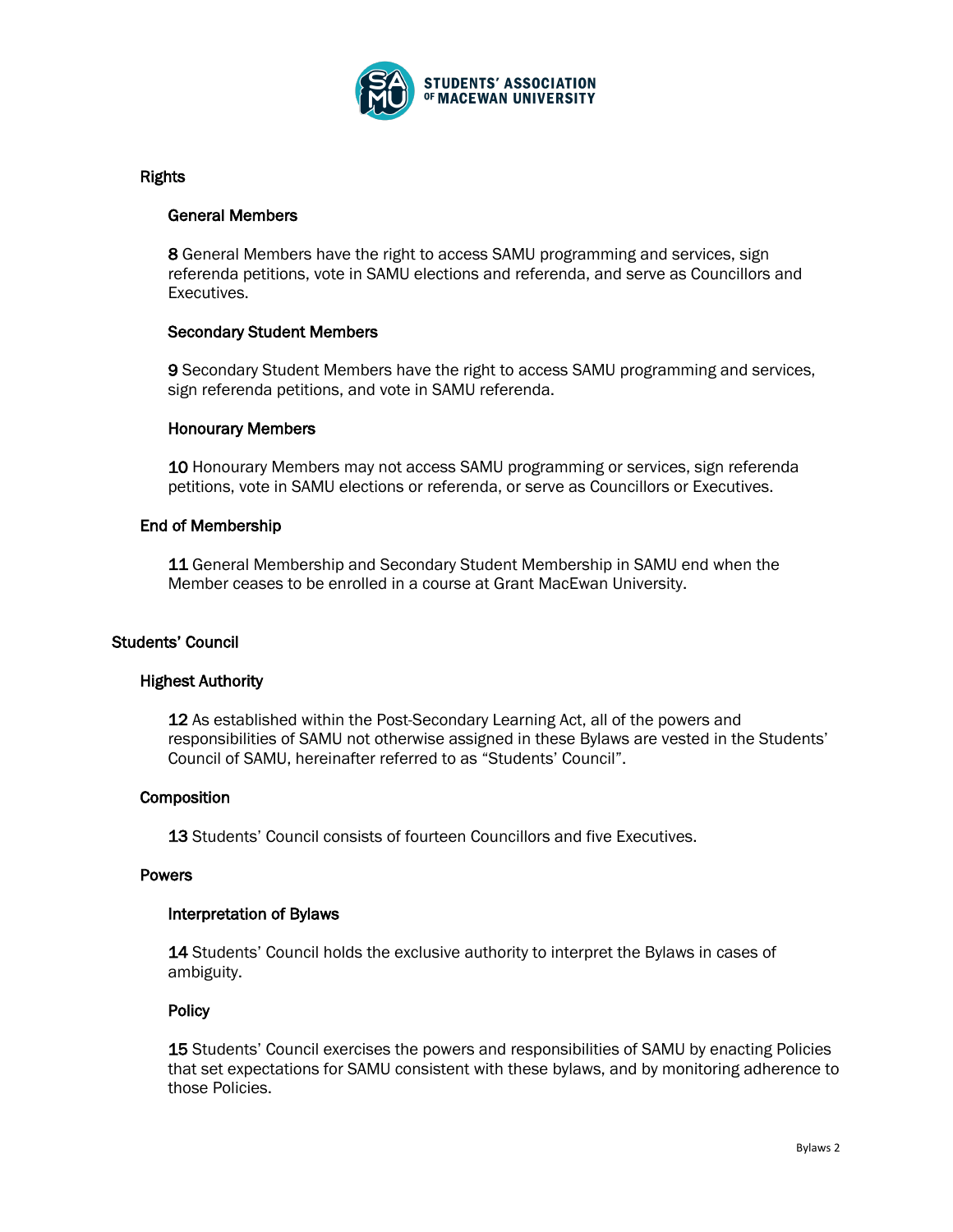

## Rights

### General Members

8 General Members have the right to access SAMU programming and services, sign referenda petitions, vote in SAMU elections and referenda, and serve as Councillors and Executives.

### Secondary Student Members

9 Secondary Student Members have the right to access SAMU programming and services, sign referenda petitions, and vote in SAMU referenda.

### Honourary Members

10 Honourary Members may not access SAMU programming or services, sign referenda petitions, vote in SAMU elections or referenda, or serve as Councillors or Executives.

## End of Membership

11 General Membership and Secondary Student Membership in SAMU end when the Member ceases to be enrolled in a course at Grant MacEwan University.

## Students' Council

### Highest Authority

12 As established within the Post-Secondary Learning Act, all of the powers and responsibilities of SAMU not otherwise assigned in these Bylaws are vested in the Students' Council of SAMU, hereinafter referred to as "Students' Council".

### **Composition**

13 Students' Council consists of fourteen Councillors and five Executives.

### Powers

### Interpretation of Bylaws

14 Students' Council holds the exclusive authority to interpret the Bylaws in cases of ambiguity.

### **Policy**

15 Students' Council exercises the powers and responsibilities of SAMU by enacting Policies that set expectations for SAMU consistent with these bylaws, and by monitoring adherence to those Policies.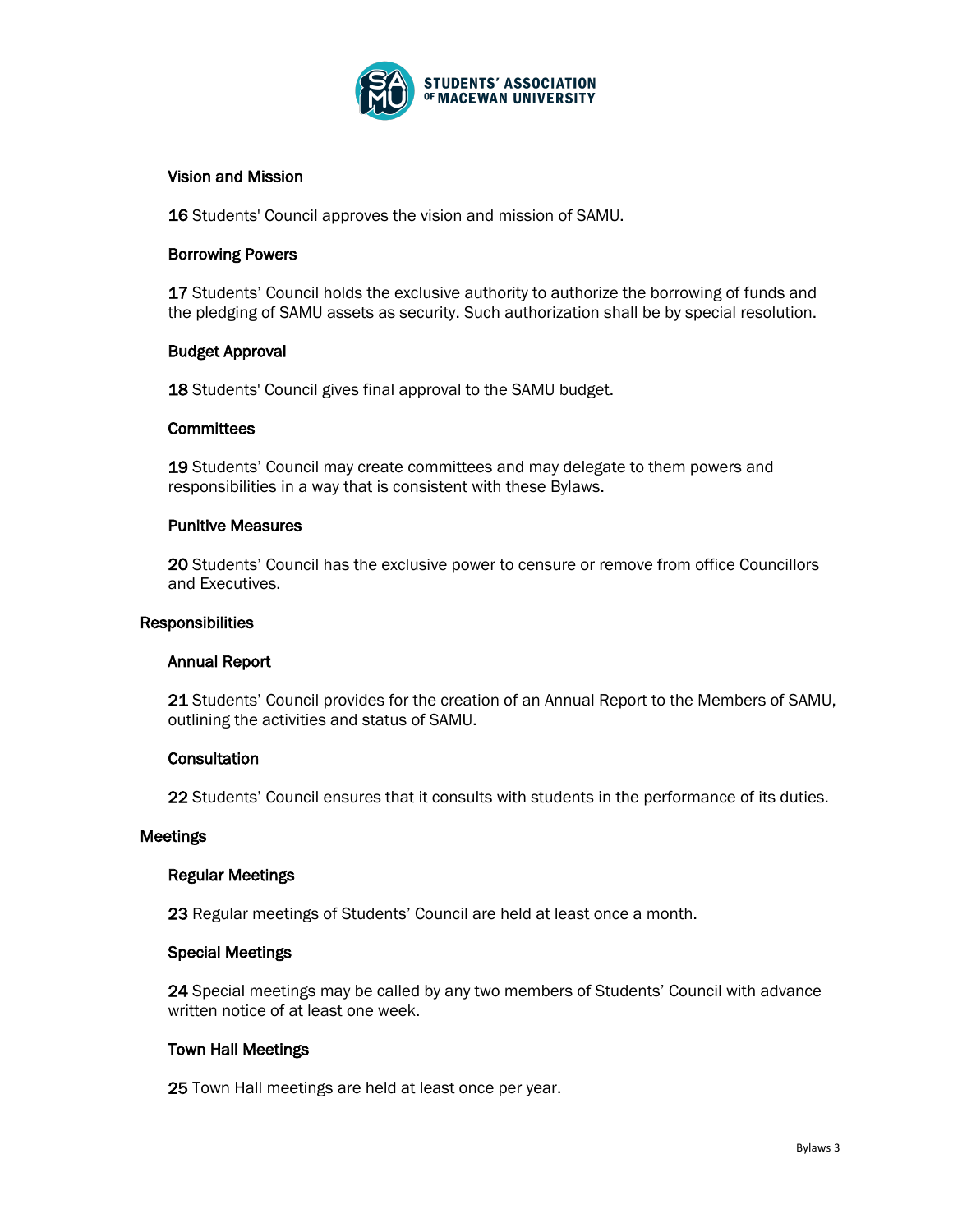

## Vision and Mission

16 Students' Council approves the vision and mission of SAMU.

### Borrowing Powers

17 Students' Council holds the exclusive authority to authorize the borrowing of funds and the pledging of SAMU assets as security. Such authorization shall be by special resolution.

## Budget Approval

18 Students' Council gives final approval to the SAMU budget.

### **Committees**

19 Students' Council may create committees and may delegate to them powers and responsibilities in a way that is consistent with these Bylaws.

### Punitive Measures

20 Students' Council has the exclusive power to censure or remove from office Councillors and Executives.

### **Responsibilities**

### Annual Report

21 Students' Council provides for the creation of an Annual Report to the Members of SAMU, outlining the activities and status of SAMU.

### **Consultation**

22 Students' Council ensures that it consults with students in the performance of its duties.

### **Meetings**

### Regular Meetings

23 Regular meetings of Students' Council are held at least once a month.

### Special Meetings

24 Special meetings may be called by any two members of Students' Council with advance written notice of at least one week.

### Town Hall Meetings

25 Town Hall meetings are held at least once per year.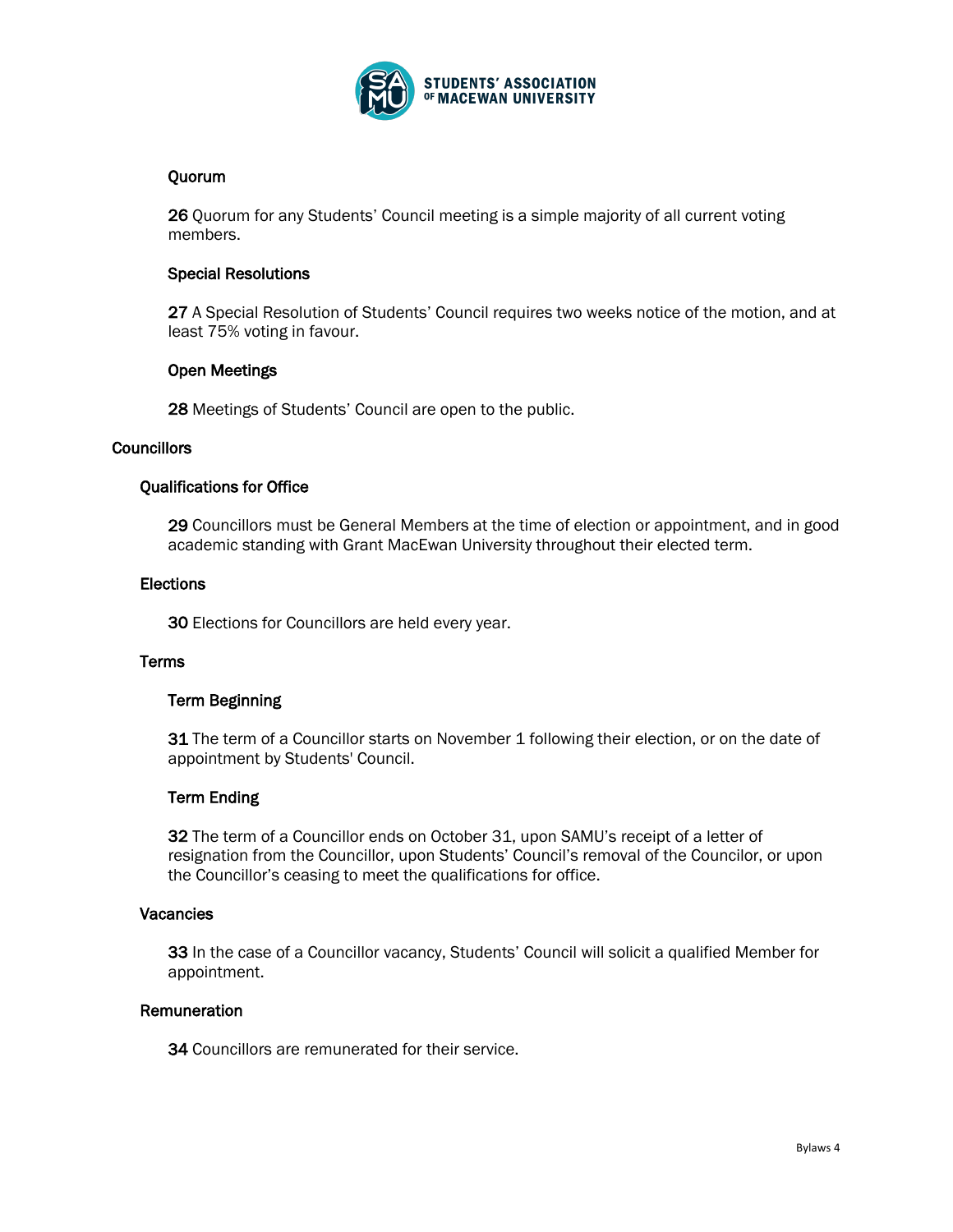

# Quorum

26 Quorum for any Students' Council meeting is a simple majority of all current voting members.

## Special Resolutions

27 A Special Resolution of Students' Council requires two weeks notice of the motion, and at least 75% voting in favour.

## Open Meetings

28 Meetings of Students' Council are open to the public.

### **Councillors**

# Qualifications for Office

29 Councillors must be General Members at the time of election or appointment, and in good academic standing with Grant MacEwan University throughout their elected term.

### **Elections**

30 Elections for Councillors are held every year.

## **Terms**

## Term Beginning

31 The term of a Councillor starts on November 1 following their election, or on the date of appointment by Students' Council.

### Term Ending

32 The term of a Councillor ends on October 31, upon SAMU's receipt of a letter of resignation from the Councillor, upon Students' Council's removal of the Councilor, or upon the Councillor's ceasing to meet the qualifications for office.

### **Vacancies**

33 In the case of a Councillor vacancy, Students' Council will solicit a qualified Member for appointment.

## **Remuneration**

34 Councillors are remunerated for their service.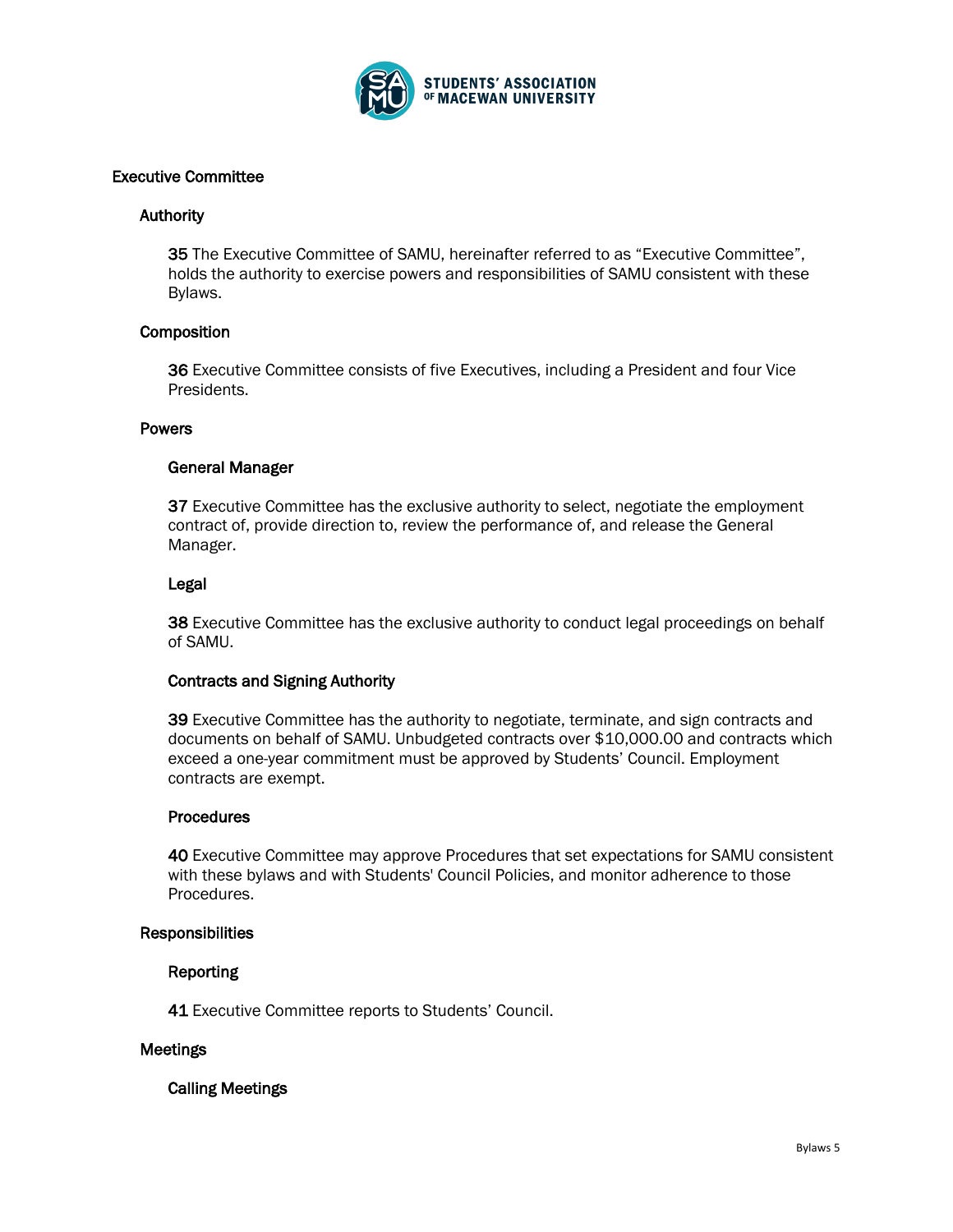

## Executive Committee

### **Authority**

35 The Executive Committee of SAMU, hereinafter referred to as "Executive Committee", holds the authority to exercise powers and responsibilities of SAMU consistent with these Bylaws.

## **Composition**

36 Executive Committee consists of five Executives, including a President and four Vice Presidents.

### Powers

### General Manager

37 Executive Committee has the exclusive authority to select, negotiate the employment contract of, provide direction to, review the performance of, and release the General Manager.

#### Legal

38 Executive Committee has the exclusive authority to conduct legal proceedings on behalf of SAMU.

### Contracts and Signing Authority

39 Executive Committee has the authority to negotiate, terminate, and sign contracts and documents on behalf of SAMU. Unbudgeted contracts over \$10,000.00 and contracts which exceed a one-year commitment must be approved by Students' Council. Employment contracts are exempt.

### **Procedures**

40 Executive Committee may approve Procedures that set expectations for SAMU consistent with these bylaws and with Students' Council Policies, and monitor adherence to those Procedures.

### **Responsibilities**

### Reporting

41 Executive Committee reports to Students' Council.

### Meetings

Calling Meetings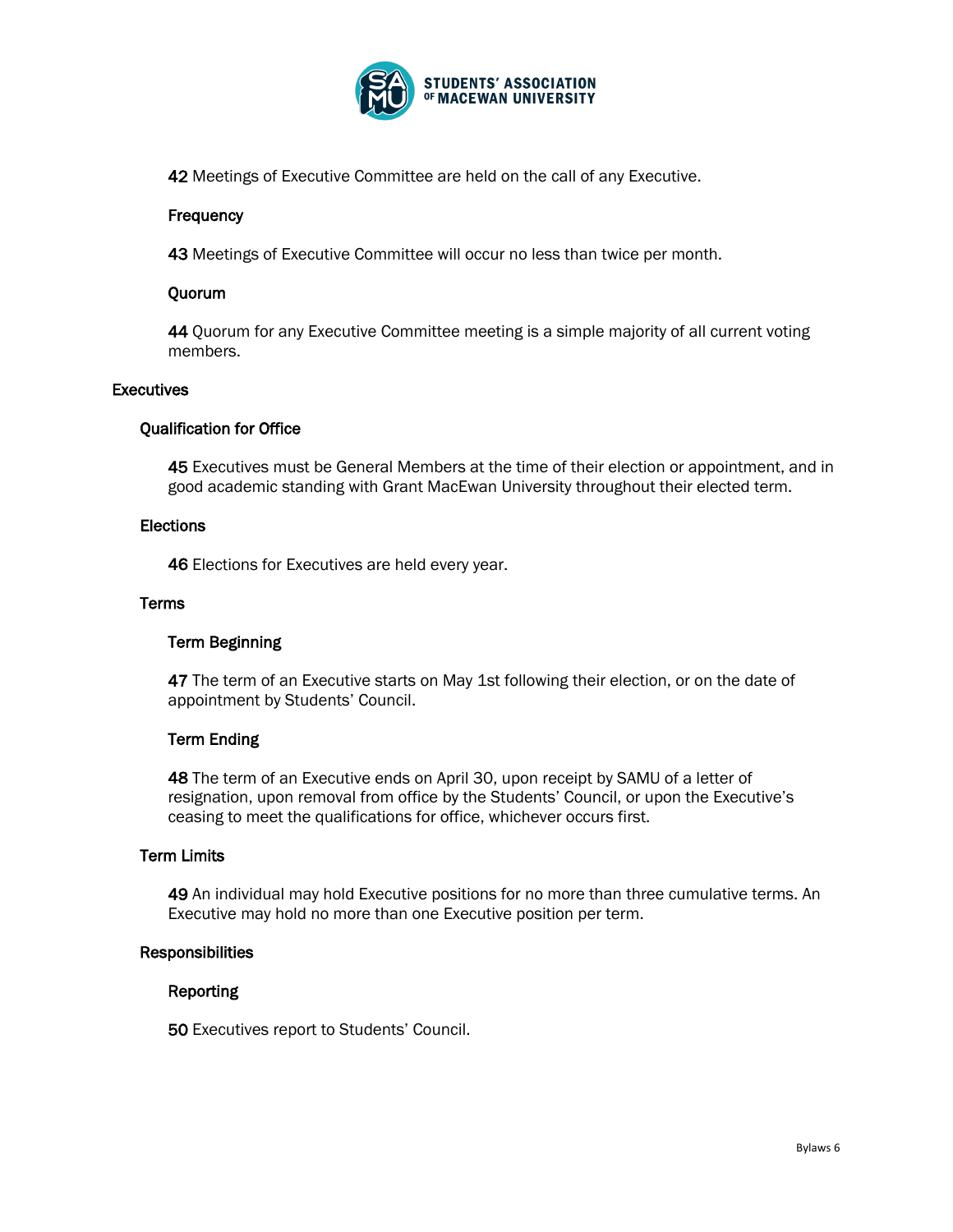

42 Meetings of Executive Committee are held on the call of any Executive.

# **Frequency**

43 Meetings of Executive Committee will occur no less than twice per month.

# Quorum

44 Quorum for any Executive Committee meeting is a simple majority of all current voting members.

## **Executives**

# Qualification for Office

45 Executives must be General Members at the time of their election or appointment, and in good academic standing with Grant MacEwan University throughout their elected term.

## **Elections**

46 Elections for Executives are held every year.

## **Terms**

# Term Beginning

47 The term of an Executive starts on May 1st following their election, or on the date of appointment by Students' Council.

# Term Ending

48 The term of an Executive ends on April 30, upon receipt by SAMU of a letter of resignation, upon removal from office by the Students' Council, or upon the Executive's ceasing to meet the qualifications for office, whichever occurs first.

# Term Limits

49 An individual may hold Executive positions for no more than three cumulative terms. An Executive may hold no more than one Executive position per term.

### **Responsibilities**

## Reporting

50 Executives report to Students' Council.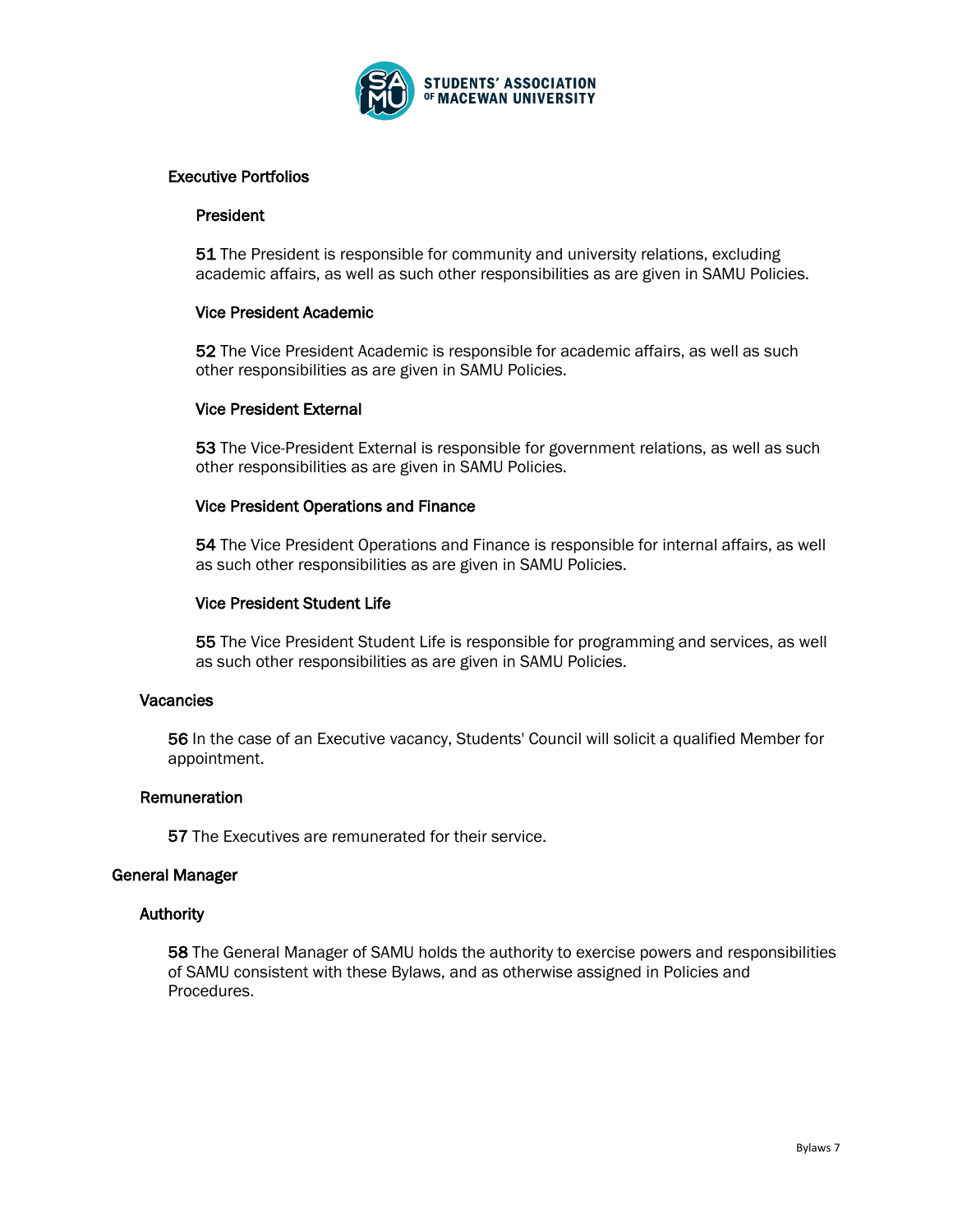

## Executive Portfolios

### President

51 The President is responsible for community and university relations, excluding academic affairs, as well as such other responsibilities as are given in SAMU Policies.

## Vice President Academic

52 The Vice President Academic is responsible for academic affairs, as well as such other responsibilities as are given in SAMU Policies.

## Vice President External

53 The Vice-President External is responsible for government relations, as well as such other responsibilities as are given in SAMU Policies.

## Vice President Operations and Finance

54 The Vice President Operations and Finance is responsible for internal affairs, as well as such other responsibilities as are given in SAMU Policies.

## Vice President Student Life

55 The Vice President Student Life is responsible for programming and services, as well as such other responsibilities as are given in SAMU Policies.

# Vacancies

56 In the case of an Executive vacancy, Students' Council will solicit a qualified Member for appointment.

### Remuneration

57 The Executives are remunerated for their service.

### General Manager

### Authority

58 The General Manager of SAMU holds the authority to exercise powers and responsibilities of SAMU consistent with these Bylaws, and as otherwise assigned in Policies and Procedures.